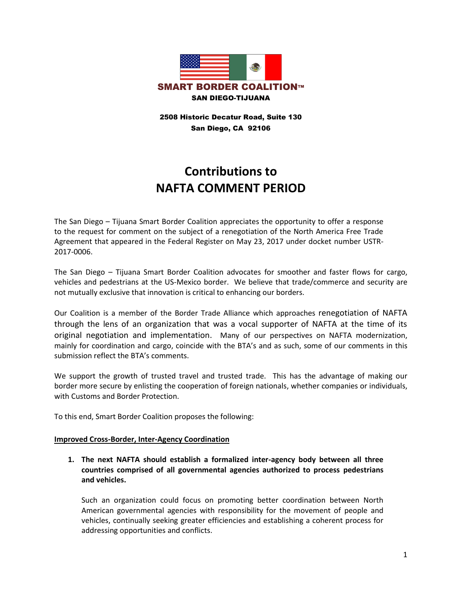

2508 Historic Decatur Road, Suite 130 San Diego, CA 92106

# **Contributions to NAFTA COMMENT PERIOD**

The San Diego – Tijuana Smart Border Coalition appreciates the opportunity to offer a response to the request for comment on the subject of a renegotiation of the North America Free Trade Agreement that appeared in the Federal Register on May 23, 2017 under docket number USTR-2017-0006.

The San Diego – Tijuana Smart Border Coalition advocates for smoother and faster flows for cargo, vehicles and pedestrians at the US-Mexico border. We believe that trade/commerce and security are not mutually exclusive that innovation is critical to enhancing our borders.

Our Coalition is a member of the Border Trade Alliance which approaches renegotiation of NAFTA through the lens of an organization that was a vocal supporter of NAFTA at the time of its original negotiation and implementation. Many of our perspectives on NAFTA modernization, mainly for coordination and cargo, coincide with the BTA's and as such, some of our comments in this submission reflect the BTA's comments.

We support the growth of trusted travel and trusted trade. This has the advantage of making our border more secure by enlisting the cooperation of foreign nationals, whether companies or individuals, with Customs and Border Protection.

To this end, Smart Border Coalition proposes the following:

#### **Improved Cross-Border, Inter-Agency Coordination**

**1. The next NAFTA should establish a formalized inter-agency body between all three countries comprised of all governmental agencies authorized to process pedestrians and vehicles.** 

Such an organization could focus on promoting better coordination between North American governmental agencies with responsibility for the movement of people and vehicles, continually seeking greater efficiencies and establishing a coherent process for addressing opportunities and conflicts.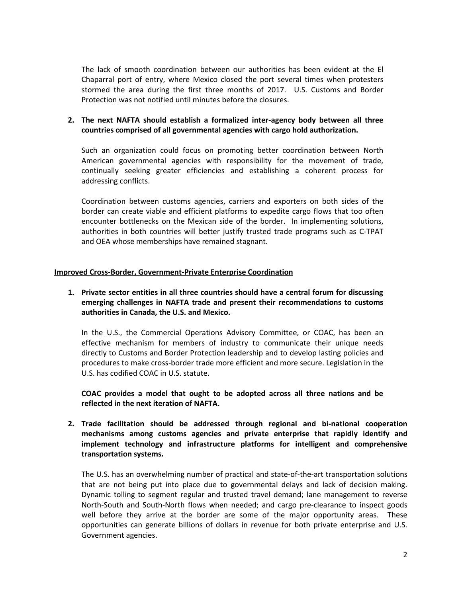The lack of smooth coordination between our authorities has been evident at the El Chaparral port of entry, where Mexico closed the port several times when protesters stormed the area during the first three months of 2017. U.S. Customs and Border Protection was not notified until minutes before the closures.

## **2. The next NAFTA should establish a formalized inter-agency body between all three countries comprised of all governmental agencies with cargo hold authorization.**

Such an organization could focus on promoting better coordination between North American governmental agencies with responsibility for the movement of trade, continually seeking greater efficiencies and establishing a coherent process for addressing conflicts.

Coordination between customs agencies, carriers and exporters on both sides of the border can create viable and efficient platforms to expedite cargo flows that too often encounter bottlenecks on the Mexican side of the border. In implementing solutions, authorities in both countries will better justify trusted trade programs such as C-TPAT and OEA whose memberships have remained stagnant.

#### **Improved Cross-Border, Government-Private Enterprise Coordination**

## **1. Private sector entities in all three countries should have a central forum for discussing emerging challenges in NAFTA trade and present their recommendations to customs authorities in Canada, the U.S. and Mexico.**

In the U.S., the Commercial Operations Advisory Committee, or COAC, has been an effective mechanism for members of industry to communicate their unique needs directly to Customs and Border Protection leadership and to develop lasting policies and procedures to make cross-border trade more efficient and more secure. Legislation in the U.S. has codified COAC in U.S. statute.

**COAC provides a model that ought to be adopted across all three nations and be reflected in the next iteration of NAFTA.** 

**2. Trade facilitation should be addressed through regional and bi-national cooperation mechanisms among customs agencies and private enterprise that rapidly identify and implement technology and infrastructure platforms for intelligent and comprehensive transportation systems.** 

The U.S. has an overwhelming number of practical and state-of-the-art transportation solutions that are not being put into place due to governmental delays and lack of decision making. Dynamic tolling to segment regular and trusted travel demand; lane management to reverse North-South and South-North flows when needed; and cargo pre-clearance to inspect goods well before they arrive at the border are some of the major opportunity areas. These opportunities can generate billions of dollars in revenue for both private enterprise and U.S. Government agencies.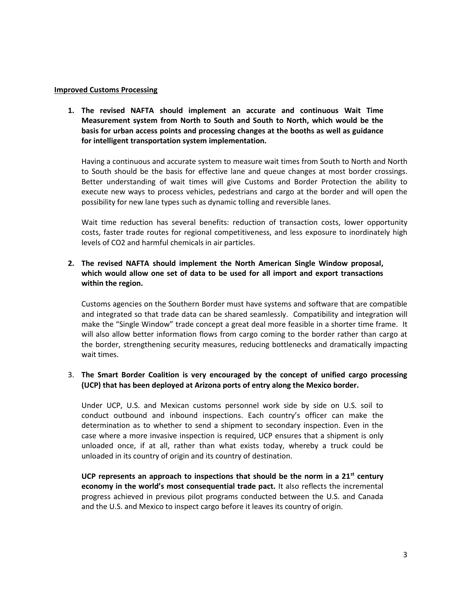#### **Improved Customs Processing**

**1. The revised NAFTA should implement an accurate and continuous Wait Time Measurement system from North to South and South to North, which would be the basis for urban access points and processing changes at the booths as well as guidance for intelligent transportation system implementation.** 

Having a continuous and accurate system to measure wait times from South to North and North to South should be the basis for effective lane and queue changes at most border crossings. Better understanding of wait times will give Customs and Border Protection the ability to execute new ways to process vehicles, pedestrians and cargo at the border and will open the possibility for new lane types such as dynamic tolling and reversible lanes.

Wait time reduction has several benefits: reduction of transaction costs, lower opportunity costs, faster trade routes for regional competitiveness, and less exposure to inordinately high levels of CO2 and harmful chemicals in air particles.

## **2. The revised NAFTA should implement the North American Single Window proposal, which would allow one set of data to be used for all import and export transactions within the region.**

Customs agencies on the Southern Border must have systems and software that are compatible and integrated so that trade data can be shared seamlessly. Compatibility and integration will make the "Single Window" trade concept a great deal more feasible in a shorter time frame. It will also allow better information flows from cargo coming to the border rather than cargo at the border, strengthening security measures, reducing bottlenecks and dramatically impacting wait times.

#### 3. **The Smart Border Coalition is very encouraged by the concept of unified cargo processing (UCP) that has been deployed at Arizona ports of entry along the Mexico border.**

Under UCP, U.S. and Mexican customs personnel work side by side on U.S. soil to conduct outbound and inbound inspections. Each country's officer can make the determination as to whether to send a shipment to secondary inspection. Even in the case where a more invasive inspection is required, UCP ensures that a shipment is only unloaded once, if at all, rather than what exists today, whereby a truck could be unloaded in its country of origin and its country of destination.

**UCP represents an approach to inspections that should be the norm in a 21st century economy in the world's most consequential trade pact.** It also reflects the incremental progress achieved in previous pilot programs conducted between the U.S. and Canada and the U.S. and Mexico to inspect cargo before it leaves its country of origin.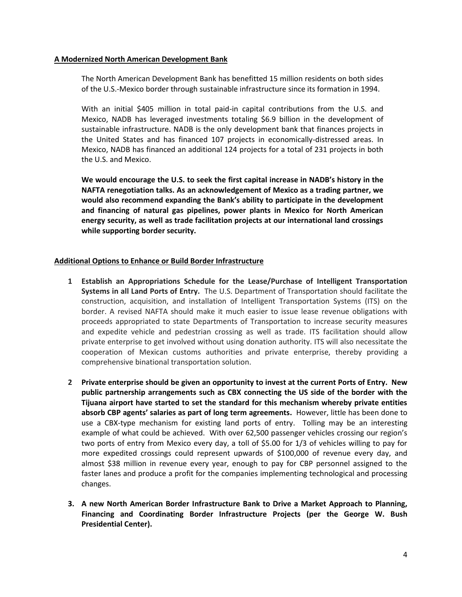#### **A Modernized North American Development Bank**

The North American Development Bank has benefitted 15 million residents on both sides of the U.S.-Mexico border through sustainable infrastructure since its formation in 1994.

With an initial \$405 million in total paid-in capital contributions from the U.S. and Mexico, NADB has leveraged investments totaling \$6.9 billion in the development of sustainable infrastructure. NADB is the only development bank that finances projects in the United States and has financed 107 projects in economically-distressed areas. In Mexico, NADB has financed an additional 124 projects for a total of 231 projects in both the U.S. and Mexico.

**We would encourage the U.S. to seek the first capital increase in NADB's history in the NAFTA renegotiation talks. As an acknowledgement of Mexico as a trading partner, we would also recommend expanding the Bank's ability to participate in the development and financing of natural gas pipelines, power plants in Mexico for North American energy security, as well as trade facilitation projects at our international land crossings while supporting border security.**

#### **Additional Options to Enhance or Build Border Infrastructure**

- **1 Establish an Appropriations Schedule for the Lease/Purchase of Intelligent Transportation Systems in all Land Ports of Entry.** The U.S. Department of Transportation should facilitate the construction, acquisition, and installation of Intelligent Transportation Systems (ITS) on the border. A revised NAFTA should make it much easier to issue lease revenue obligations with proceeds appropriated to state Departments of Transportation to increase security measures and expedite vehicle and pedestrian crossing as well as trade. ITS facilitation should allow private enterprise to get involved without using donation authority. ITS will also necessitate the cooperation of Mexican customs authorities and private enterprise, thereby providing a comprehensive binational transportation solution.
- **2 Private enterprise should be given an opportunity to invest at the current Ports of Entry. New public partnership arrangements such as CBX connecting the US side of the border with the Tijuana airport have started to set the standard for this mechanism whereby private entities absorb CBP agents' salaries as part of long term agreements.** However, little has been done to use a CBX-type mechanism for existing land ports of entry. Tolling may be an interesting example of what could be achieved. With over 62,500 passenger vehicles crossing our region's two ports of entry from Mexico every day, a toll of \$5.00 for 1/3 of vehicles willing to pay for more expedited crossings could represent upwards of \$100,000 of revenue every day, and almost \$38 million in revenue every year, enough to pay for CBP personnel assigned to the faster lanes and produce a profit for the companies implementing technological and processing changes.
- **3. A new North American Border Infrastructure Bank to Drive a Market Approach to Planning, Financing and Coordinating Border Infrastructure Projects (per the George W. Bush Presidential Center).**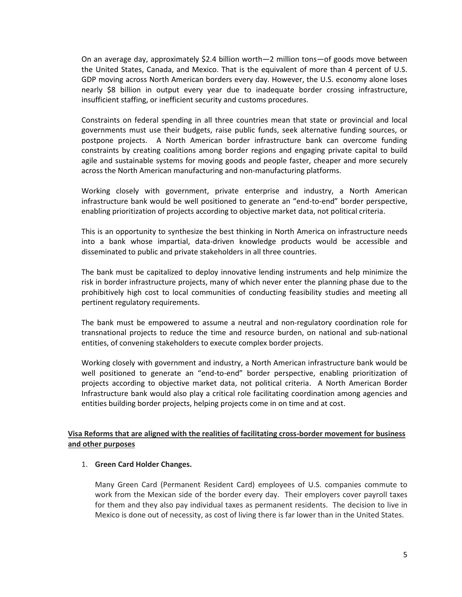On an average day, approximately \$2.4 billion worth—2 million tons—of goods move between the United States, Canada, and Mexico. That is the equivalent of more than 4 percent of U.S. GDP moving across North American borders every day. However, the U.S. economy alone loses nearly \$8 billion in output every year due to inadequate border crossing infrastructure, insufficient staffing, or inefficient security and customs procedures.

Constraints on federal spending in all three countries mean that state or provincial and local governments must use their budgets, raise public funds, seek alternative funding sources, or postpone projects. A North American border infrastructure bank can overcome funding constraints by creating coalitions among border regions and engaging private capital to build agile and sustainable systems for moving goods and people faster, cheaper and more securely across the North American manufacturing and non-manufacturing platforms.

Working closely with government, private enterprise and industry, a North American infrastructure bank would be well positioned to generate an "end-to-end" border perspective, enabling prioritization of projects according to objective market data, not political criteria.

This is an opportunity to synthesize the best thinking in North America on infrastructure needs into a bank whose impartial, data-driven knowledge products would be accessible and disseminated to public and private stakeholders in all three countries.

The bank must be capitalized to deploy innovative lending instruments and help minimize the risk in border infrastructure projects, many of which never enter the planning phase due to the prohibitively high cost to local communities of conducting feasibility studies and meeting all pertinent regulatory requirements.

The bank must be empowered to assume a neutral and non-regulatory coordination role for transnational projects to reduce the time and resource burden, on national and sub-national entities, of convening stakeholders to execute complex border projects.

Working closely with government and industry, a North American infrastructure bank would be well positioned to generate an "end-to-end" border perspective, enabling prioritization of projects according to objective market data, not political criteria. A North American Border Infrastructure bank would also play a critical role facilitating coordination among agencies and entities building border projects, helping projects come in on time and at cost.

## **Visa Reforms that are aligned with the realities of facilitating cross-border movement for business and other purposes**

#### 1. **Green Card Holder Changes.**

Many Green Card (Permanent Resident Card) employees of U.S. companies commute to work from the Mexican side of the border every day. Their employers cover payroll taxes for them and they also pay individual taxes as permanent residents. The decision to live in Mexico is done out of necessity, as cost of living there is far lower than in the United States.